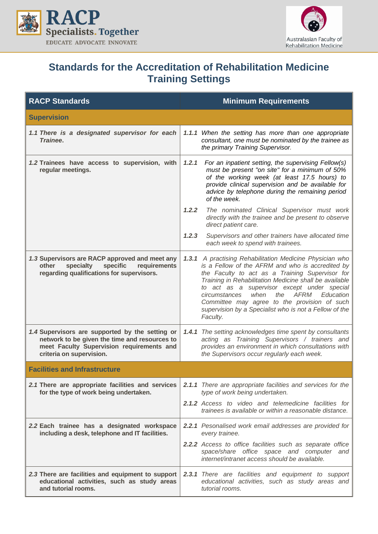



## **Standards for the Accreditation of Rehabilitation Medicine Training Settings**

| <b>RACP Standards</b>                                                                                                                                                     | <b>Minimum Requirements</b>                                                                                                                                                                                                                                                                                                                                                                                                                         |  |
|---------------------------------------------------------------------------------------------------------------------------------------------------------------------------|-----------------------------------------------------------------------------------------------------------------------------------------------------------------------------------------------------------------------------------------------------------------------------------------------------------------------------------------------------------------------------------------------------------------------------------------------------|--|
| <b>Supervision</b>                                                                                                                                                        |                                                                                                                                                                                                                                                                                                                                                                                                                                                     |  |
| 1.1 There is a designated supervisor for each<br>Trainee.                                                                                                                 | 1.1.1 When the setting has more than one appropriate<br>consultant, one must be nominated by the trainee as<br>the primary Training Supervisor.                                                                                                                                                                                                                                                                                                     |  |
| 1.2 Trainees have access to supervision, with<br>regular meetings.                                                                                                        | 1.2.1<br>For an inpatient setting, the supervising Fellow(s)<br>must be present "on site" for a minimum of 50%<br>of the working week (at least 17.5 hours) to<br>provide clinical supervision and be available for<br>advice by telephone during the remaining period<br>of the week.                                                                                                                                                              |  |
|                                                                                                                                                                           | 1.2.2<br>The nominated Clinical Supervisor must work<br>directly with the trainee and be present to observe<br>direct patient care.                                                                                                                                                                                                                                                                                                                 |  |
|                                                                                                                                                                           | 1.2.3<br>Supervisors and other trainers have allocated time<br>each week to spend with trainees.                                                                                                                                                                                                                                                                                                                                                    |  |
| 1.3 Supervisors are RACP approved and meet any<br>specific<br>other<br>specialty<br>requirements<br>regarding qualifications for supervisors.                             | 1.3.1 A practising Rehabilitation Medicine Physician who<br>is a Fellow of the AFRM and who is accredited by<br>the Faculty to act as a Training Supervisor for<br>Training in Rehabilitation Medicine shall be available<br>to act as a supervisor except under special<br>when<br>AFRM<br>Education<br>circumstances<br>the<br>Committee may agree to the provision of such<br>supervision by a Specialist who is not a Fellow of the<br>Faculty. |  |
| 1.4 Supervisors are supported by the setting or<br>network to be given the time and resources to<br>meet Faculty Supervision requirements and<br>criteria on supervision. | 1.4.1 The setting acknowledges time spent by consultants<br>acting as Training Supervisors / trainers and<br>provides an environment in which consultations with<br>the Supervisors occur regularly each week.                                                                                                                                                                                                                                      |  |
| <b>Facilities and Infrastructure</b>                                                                                                                                      |                                                                                                                                                                                                                                                                                                                                                                                                                                                     |  |
| 2.1 There are appropriate facilities and services<br>for the type of work being undertaken.                                                                               | 2.1.1 There are appropriate facilities and services for the<br>type of work being undertaken.                                                                                                                                                                                                                                                                                                                                                       |  |
|                                                                                                                                                                           | 2.1.2 Access to video and telemedicine facilities for<br>trainees is available or within a reasonable distance.                                                                                                                                                                                                                                                                                                                                     |  |
| 2.2 Each trainee has a designated workspace<br>including a desk, telephone and IT facilities.                                                                             | <b>2.2.1</b> Pesonalised work email addresses are provided for<br>every trainee.                                                                                                                                                                                                                                                                                                                                                                    |  |
|                                                                                                                                                                           | 2.2.2 Access to office facilities such as separate office<br>space/share office space and computer and<br>internet/intranet access should be available.                                                                                                                                                                                                                                                                                             |  |
| 2.3 There are facilities and equipment to support<br>educational activities, such as study areas<br>and tutorial rooms.                                                   | 2.3.1 There are facilities and equipment to support<br>educational activities, such as study areas and<br>tutorial rooms.                                                                                                                                                                                                                                                                                                                           |  |